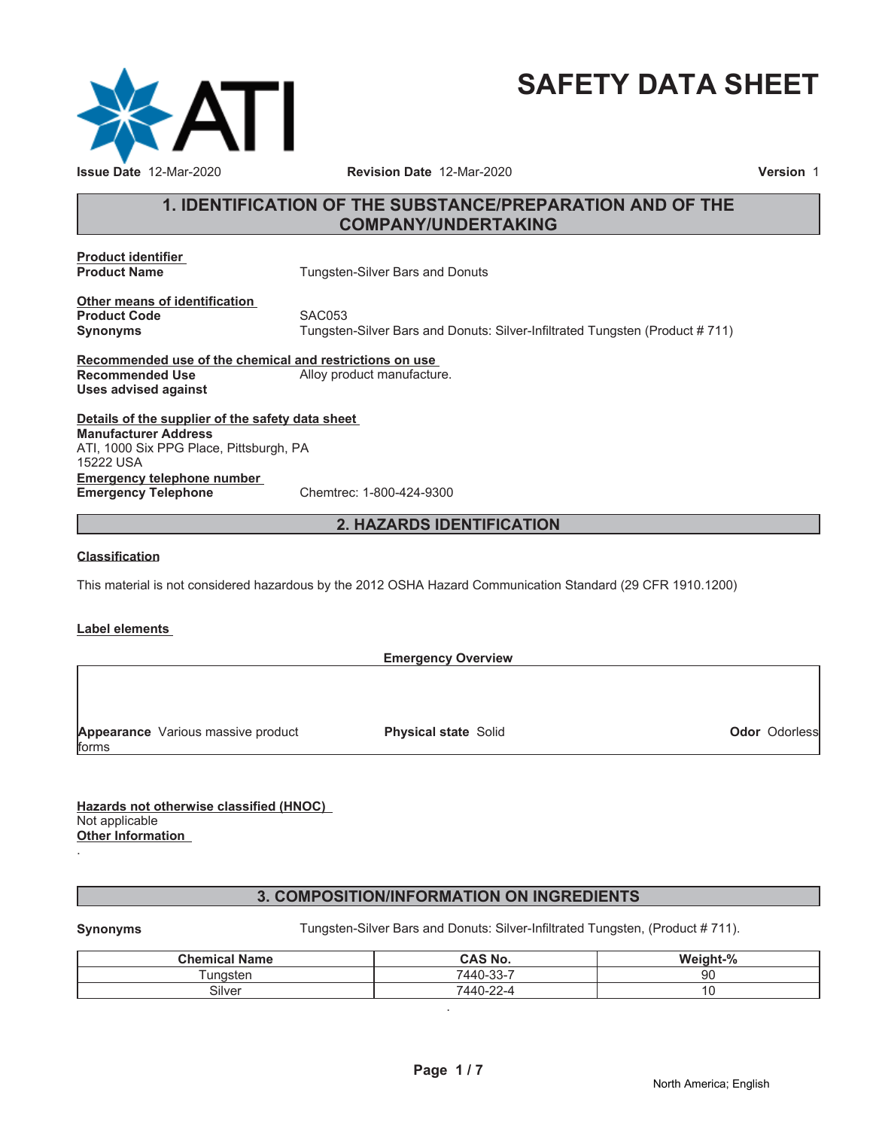

# **SAFETY DATA SHEET**

# **1. IDENTIFICATION OF THE SUBSTANCE/PREPARATION AND OF THE COMPANY/UNDERTAKING**

**Product identifier**

**Tungsten-Silver Bars and Donuts** 

**Other means of identification Product Code** SAC053

**Synonyms** Tungsten-Silver Bars and Donuts: Silver-Infiltrated Tungsten (Product # 711)

**Recommended use of the chemical and restrictions on use** Alloy product manufacture. **Uses advised against**

**Details of the supplier of the safety data sheet Emergency telephone number Emergency Telephone** Chemtrec: 1-800-424-9300 **Manufacturer Address** ATI, 1000 Six PPG Place, Pittsburgh, PA 15222 USA

# **2. HAZARDS IDENTIFICATION**

# **Classification**

This material is not considered hazardous by the 2012 OSHA Hazard Communication Standard (29 CFR 1910.1200)

# **Label elements**

|                                    | <b>Emergency Overview</b>   |                      |
|------------------------------------|-----------------------------|----------------------|
|                                    |                             |                      |
|                                    |                             |                      |
|                                    |                             |                      |
| Appearance Various massive product | <b>Physical state Solid</b> | <b>Odor Odorless</b> |
| forms                              |                             |                      |

**Hazards not otherwise classified (HNOC)** Not applicable **Other Information**

# **3. COMPOSITION/INFORMATION ON INGREDIENTS**

.

**Synonyms** Tungsten-Silver Bars and Donuts: Silver-Infiltrated Tungsten, (Product # 711).

| <b>Chemical Name</b> | <b>CAS No.</b> | Weight-% |
|----------------------|----------------|----------|
| unasten              | 7440-33-7      | 90       |
| Silver               | 7440-22-4      | v        |

.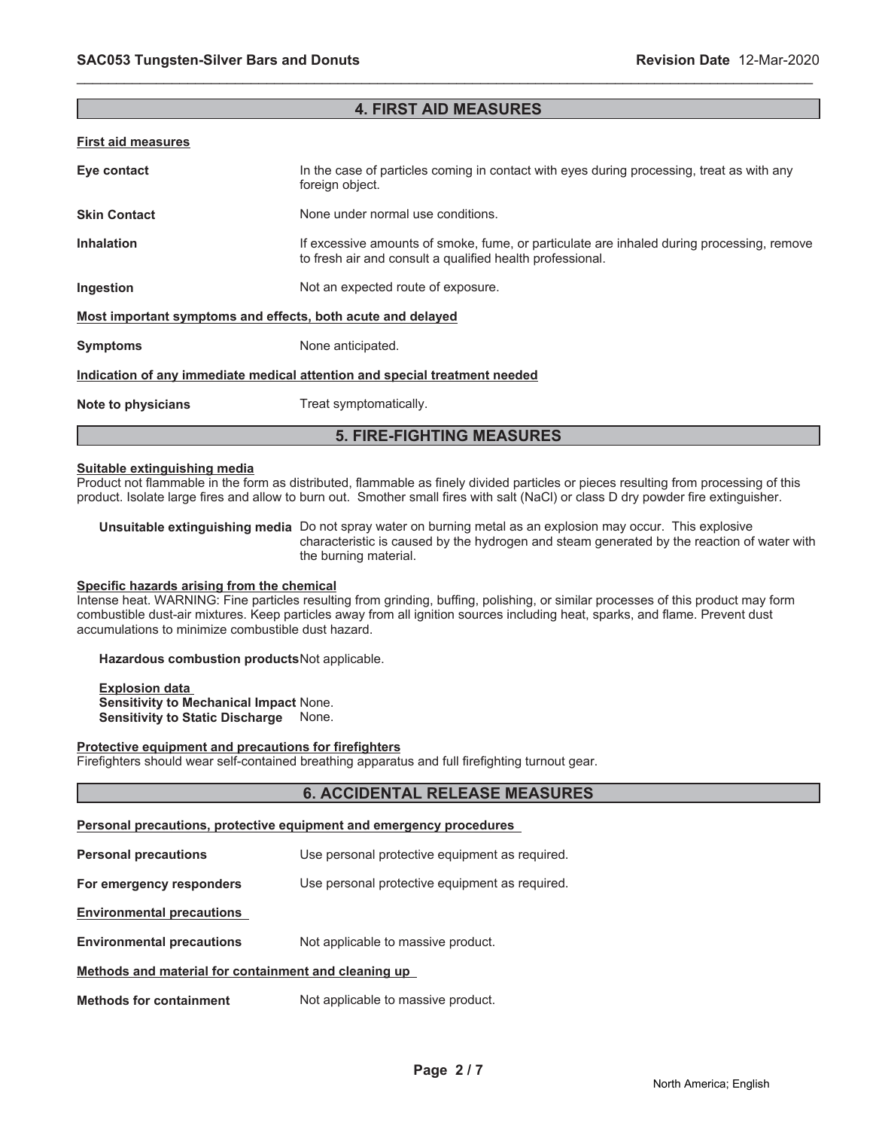| <b>First aid measures</b>                                                  |                                                                                                                                                        |  |
|----------------------------------------------------------------------------|--------------------------------------------------------------------------------------------------------------------------------------------------------|--|
| Eye contact                                                                | In the case of particles coming in contact with eyes during processing, treat as with any<br>foreign object.                                           |  |
| <b>Skin Contact</b>                                                        | None under normal use conditions.                                                                                                                      |  |
| <b>Inhalation</b>                                                          | If excessive amounts of smoke, fume, or particulate are inhaled during processing, remove<br>to fresh air and consult a qualified health professional. |  |
| Ingestion                                                                  | Not an expected route of exposure.                                                                                                                     |  |
| Most important symptoms and effects, both acute and delayed                |                                                                                                                                                        |  |
| <b>Symptoms</b>                                                            | None anticipated.                                                                                                                                      |  |
| Indication of any immediate medical attention and special treatment needed |                                                                                                                                                        |  |
| Note to physicians                                                         | Treat symptomatically.                                                                                                                                 |  |
| <b>5. FIRE-FIGHTING MEASURES</b>                                           |                                                                                                                                                        |  |

\_\_\_\_\_\_\_\_\_\_\_\_\_\_\_\_\_\_\_\_\_\_\_\_\_\_\_\_\_\_\_\_\_\_\_\_\_\_\_\_\_\_\_\_\_\_\_\_\_\_\_\_\_\_\_\_\_\_\_\_\_\_\_\_\_\_\_\_\_\_\_\_\_\_\_\_\_\_\_\_\_\_\_\_\_\_\_\_\_\_\_\_\_

**4. FIRST AID MEASURES**

### **Suitable extinguishing media**

Product not flammable in the form as distributed, flammable as finely divided particles or pieces resulting from processing of this product. Isolate large fires and allow to burn out. Smother small fires with salt (NaCl) or class D dry powder fire extinguisher.

**Unsuitable extinguishing media** Do not spray water on burning metal as an explosion may occur. This explosive characteristic is caused by the hydrogen and steam generated by the reaction of water with the burning material.

### **Specific hazards arising from the chemical**

Intense heat. WARNING: Fine particles resulting from grinding, buffing, polishing, or similar processes of this product may form combustible dust-air mixtures. Keep particles away from all ignition sources including heat, sparks, and flame. Prevent dust accumulations to minimize combustible dust hazard.

### **Hazardous combustion products**Not applicable.

**Explosion data Sensitivity to Mechanical Impact** None. **Sensitivity to Static Discharge** None.

### **Protective equipment and precautions for firefighters**

Firefighters should wear self-contained breathing apparatus and full firefighting turnout gear.

# **6. ACCIDENTAL RELEASE MEASURES**

# **Personal precautions, protective equipment and emergency procedures**

**Personal precautions** Use personal protective equipment as required.

**For emergency responders** Use personal protective equipment as required.

**Environmental precautions**

**Environmental precautions** Not applicable to massive product.

# **Methods and material for containment and cleaning up**

**Methods for containment** Not applicable to massive product.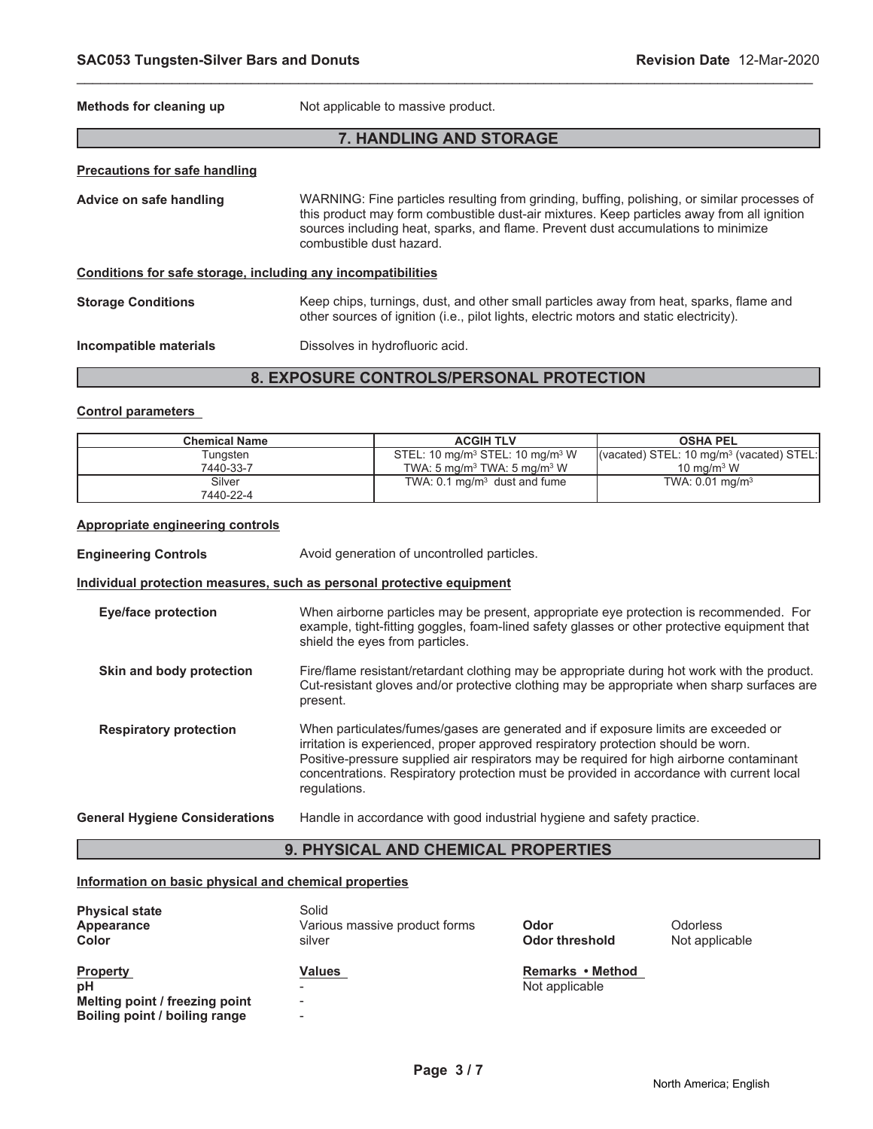| Methods for cleaning up                                      | Not applicable to massive product.                                                                                                                                                                                                                                                                          |
|--------------------------------------------------------------|-------------------------------------------------------------------------------------------------------------------------------------------------------------------------------------------------------------------------------------------------------------------------------------------------------------|
|                                                              | 7. HANDLING AND STORAGE                                                                                                                                                                                                                                                                                     |
| <b>Precautions for safe handling</b>                         |                                                                                                                                                                                                                                                                                                             |
| Advice on safe handling                                      | WARNING: Fine particles resulting from grinding, buffing, polishing, or similar processes of<br>this product may form combustible dust-air mixtures. Keep particles away from all ignition<br>sources including heat, sparks, and flame. Prevent dust accumulations to minimize<br>combustible dust hazard. |
| Conditions for safe storage, including any incompatibilities |                                                                                                                                                                                                                                                                                                             |
| <b>Storage Conditions</b>                                    | Keep chips, turnings, dust, and other small particles away from heat, sparks, flame and<br>other sources of ignition (i.e., pilot lights, electric motors and static electricity).                                                                                                                          |
| Incompatible materials                                       | Dissolves in hydrofluoric acid.                                                                                                                                                                                                                                                                             |

\_\_\_\_\_\_\_\_\_\_\_\_\_\_\_\_\_\_\_\_\_\_\_\_\_\_\_\_\_\_\_\_\_\_\_\_\_\_\_\_\_\_\_\_\_\_\_\_\_\_\_\_\_\_\_\_\_\_\_\_\_\_\_\_\_\_\_\_\_\_\_\_\_\_\_\_\_\_\_\_\_\_\_\_\_\_\_\_\_\_\_\_\_

# **8. EXPOSURE CONTROLS/PERSONAL PROTECTION**

# **Control parameters**

| <b>Chemical Name</b> | <b>ACGIH TLV</b>                                        | <b>OSHA PEL</b>                                                      |
|----------------------|---------------------------------------------------------|----------------------------------------------------------------------|
| Tungsten             | STEL: 10 mg/m <sup>3</sup> STEL: 10 mg/m <sup>3</sup> W | $\vert$ (vacated) STEL: 10 mg/m <sup>3</sup> (vacated) STEL: $\vert$ |
| 7440-33-7            | TWA: 5 mg/m <sup>3</sup> TWA: 5 mg/m <sup>3</sup> W     | $10 \text{ ma/m}^3 \text{ W}$                                        |
| Silver               | TWA: $0.1 \text{ mg/m}^3$ dust and fume                 | TWA: $0.01 \text{ mg/m}^3$                                           |
| 7440-22-4            |                                                         |                                                                      |

# **Appropriate engineering controls**

| <b>Engineering Controls</b>           | Avoid generation of uncontrolled particles.                                                                                                                                                                                                                                                                                                                                     |
|---------------------------------------|---------------------------------------------------------------------------------------------------------------------------------------------------------------------------------------------------------------------------------------------------------------------------------------------------------------------------------------------------------------------------------|
|                                       | Individual protection measures, such as personal protective equipment                                                                                                                                                                                                                                                                                                           |
| <b>Eye/face protection</b>            | When airborne particles may be present, appropriate eye protection is recommended. For<br>example, tight-fitting goggles, foam-lined safety glasses or other protective equipment that<br>shield the eyes from particles.                                                                                                                                                       |
| Skin and body protection              | Fire/flame resistant/retardant clothing may be appropriate during hot work with the product.<br>Cut-resistant gloves and/or protective clothing may be appropriate when sharp surfaces are<br>present.                                                                                                                                                                          |
| <b>Respiratory protection</b>         | When particulates/fumes/gases are generated and if exposure limits are exceeded or<br>irritation is experienced, proper approved respiratory protection should be worn.<br>Positive-pressure supplied air respirators may be required for high airborne contaminant<br>concentrations. Respiratory protection must be provided in accordance with current local<br>regulations. |
| <b>General Hygiene Considerations</b> | Handle in accordance with good industrial hygiene and safety practice.                                                                                                                                                                                                                                                                                                          |

# **9. PHYSICAL AND CHEMICAL PROPERTIES**

# **Information on basic physical and chemical properties**

| <b>Physical state</b><br>Appearance<br>Color                                             | Solid<br>Various massive product forms<br>silver                                           | Odor<br>Odor threshold             | <b>Odorless</b><br>Not applicable |
|------------------------------------------------------------------------------------------|--------------------------------------------------------------------------------------------|------------------------------------|-----------------------------------|
| <b>Property</b><br>pH<br>Melting point / freezing point<br>Boiling point / boiling range | Values<br>$\overline{\phantom{a}}$<br>$\overline{\phantom{a}}$<br>$\overline{\phantom{0}}$ | Remarks • Method<br>Not applicable |                                   |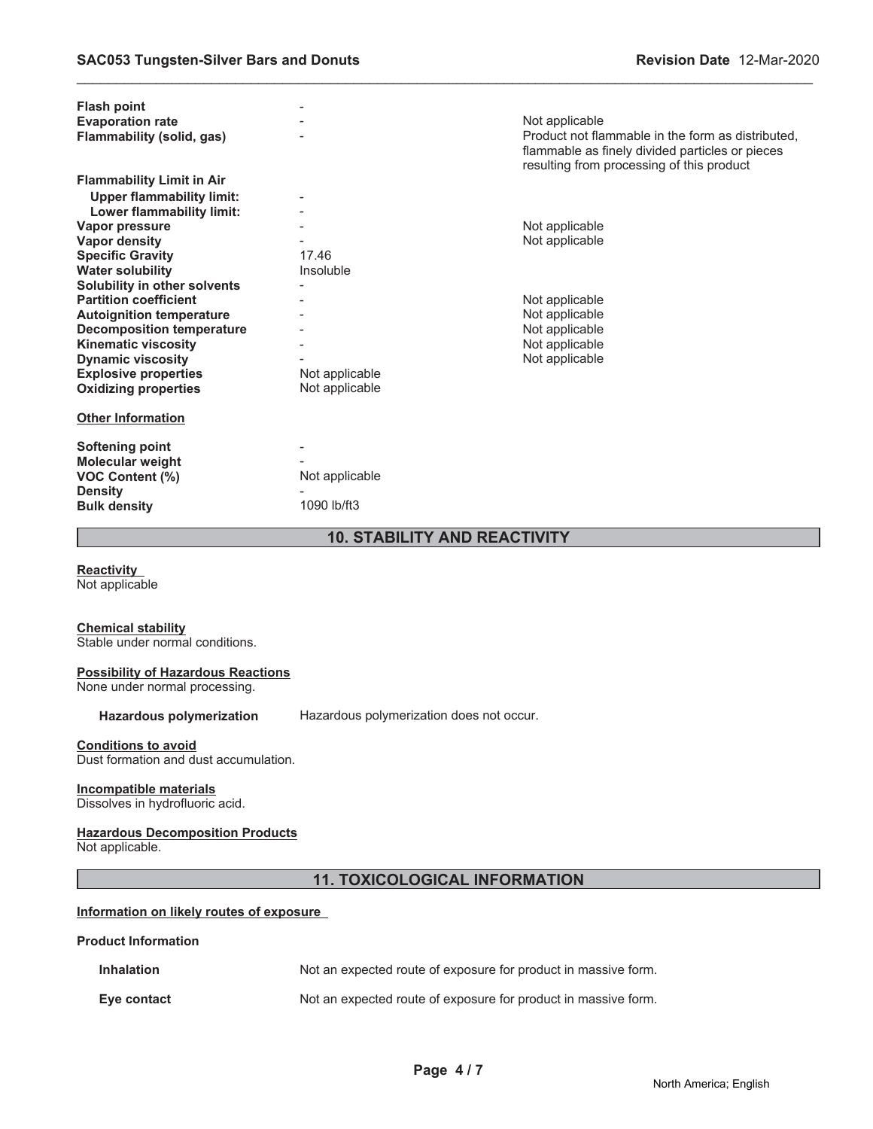| <b>Flash point</b>                  |                |                                                                                                                                                   |  |
|-------------------------------------|----------------|---------------------------------------------------------------------------------------------------------------------------------------------------|--|
| <b>Evaporation rate</b>             |                | Not applicable                                                                                                                                    |  |
| <b>Flammability (solid, gas)</b>    |                | Product not flammable in the form as distributed.<br>flammable as finely divided particles or pieces<br>resulting from processing of this product |  |
| <b>Flammability Limit in Air</b>    |                |                                                                                                                                                   |  |
| <b>Upper flammability limit:</b>    |                |                                                                                                                                                   |  |
| Lower flammability limit:           |                |                                                                                                                                                   |  |
| Vapor pressure                      |                | Not applicable                                                                                                                                    |  |
| <b>Vapor density</b>                |                | Not applicable                                                                                                                                    |  |
| <b>Specific Gravity</b>             | 17.46          |                                                                                                                                                   |  |
| <b>Water solubility</b>             | Insoluble      |                                                                                                                                                   |  |
| Solubility in other solvents        |                |                                                                                                                                                   |  |
| <b>Partition coefficient</b>        |                | Not applicable                                                                                                                                    |  |
| <b>Autoignition temperature</b>     |                | Not applicable                                                                                                                                    |  |
| <b>Decomposition temperature</b>    |                | Not applicable                                                                                                                                    |  |
| <b>Kinematic viscosity</b>          |                | Not applicable                                                                                                                                    |  |
| <b>Dynamic viscosity</b>            |                | Not applicable                                                                                                                                    |  |
| <b>Explosive properties</b>         | Not applicable |                                                                                                                                                   |  |
| <b>Oxidizing properties</b>         | Not applicable |                                                                                                                                                   |  |
| <b>Other Information</b>            |                |                                                                                                                                                   |  |
| <b>Softening point</b>              |                |                                                                                                                                                   |  |
| <b>Molecular weight</b>             |                |                                                                                                                                                   |  |
| <b>VOC Content (%)</b>              | Not applicable |                                                                                                                                                   |  |
| <b>Density</b>                      |                |                                                                                                                                                   |  |
| <b>Bulk density</b>                 | 1090 lb/ft3    |                                                                                                                                                   |  |
| <b>10. STABILITY AND REACTIVITY</b> |                |                                                                                                                                                   |  |

\_\_\_\_\_\_\_\_\_\_\_\_\_\_\_\_\_\_\_\_\_\_\_\_\_\_\_\_\_\_\_\_\_\_\_\_\_\_\_\_\_\_\_\_\_\_\_\_\_\_\_\_\_\_\_\_\_\_\_\_\_\_\_\_\_\_\_\_\_\_\_\_\_\_\_\_\_\_\_\_\_\_\_\_\_\_\_\_\_\_\_\_\_

**Reactivity**

Not applicable

### **Chemical stability**

Stable under normal conditions.

### **Possibility of Hazardous Reactions**

None under normal processing.

Hazardous polymerization Hazardous polymerization does not occur.

# **Conditions to avoid**

Dust formation and dust accumulation.

# **Incompatible materials**

Dissolves in hydrofluoric acid.

# **Hazardous Decomposition Products**

Not applicable.

# **11. TOXICOLOGICAL INFORMATION**

# **Information on likely routes of exposure**

# **Product Information**

| <b>Inhalation</b> | Not an expected route of exposure for product in massive form. |
|-------------------|----------------------------------------------------------------|
| Eve contact       | Not an expected route of exposure for product in massive form. |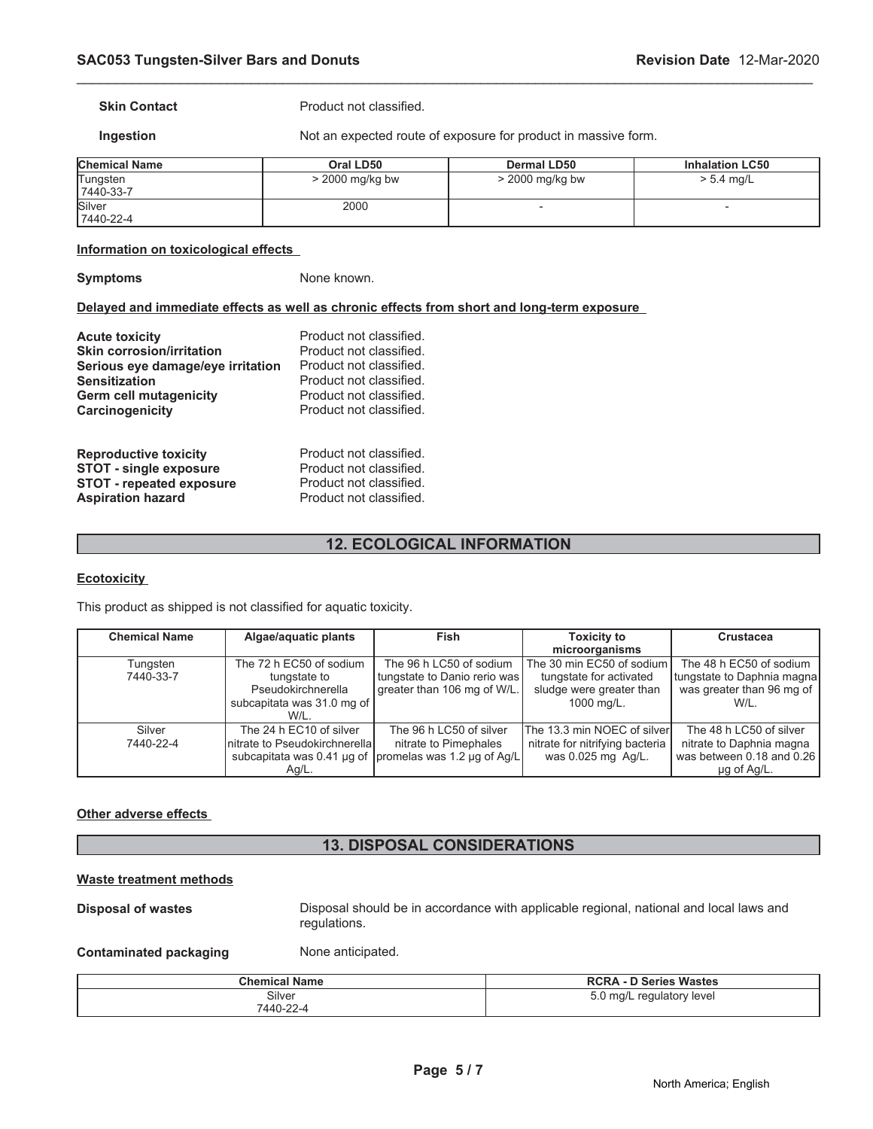**Skin Contact Product not classified.** 

**Ingestion** Not an expected route of exposure for product in massive form.

| <b>Chemical Name</b>  | Oral LD50         | Dermal LD50       | <b>Inhalation LC50</b> |
|-----------------------|-------------------|-------------------|------------------------|
| Tungsten<br>7440-33-7 | $>$ 2000 mg/kg bw | $>$ 2000 mg/kg bw | $> 5.4$ mg/L           |
| Silver<br>7440-22-4   | 2000              |                   |                        |

\_\_\_\_\_\_\_\_\_\_\_\_\_\_\_\_\_\_\_\_\_\_\_\_\_\_\_\_\_\_\_\_\_\_\_\_\_\_\_\_\_\_\_\_\_\_\_\_\_\_\_\_\_\_\_\_\_\_\_\_\_\_\_\_\_\_\_\_\_\_\_\_\_\_\_\_\_\_\_\_\_\_\_\_\_\_\_\_\_\_\_\_\_

### **Information on toxicological effects**

**Symptoms** None known.

# **Delayed and immediate effects as well as chronic effects from short and long-term exposure**

| <b>Acute toxicity</b>             | Product not classified. |
|-----------------------------------|-------------------------|
| <b>Skin corrosion/irritation</b>  | Product not classified. |
| Serious eye damage/eye irritation | Product not classified. |
| <b>Sensitization</b>              | Product not classified. |
| <b>Germ cell mutagenicity</b>     | Product not classified. |
| Carcinogenicity                   | Product not classified. |
| <b>Reproductive toxicity</b>      | Product not classified. |
| <b>STOT - single exposure</b>     | Product not classified. |
| <b>STOT - repeated exposure</b>   | Product not classified. |
| <b>Aspiration hazard</b>          | Product not classified. |

# **12. ECOLOGICAL INFORMATION**

# **Ecotoxicity**

This product as shipped is not classified for aquatic toxicity.

| <b>Chemical Name</b> | Algae/aquatic plants           | Fish                                                    | <b>Toxicity to</b>              | <b>Crustacea</b>           |
|----------------------|--------------------------------|---------------------------------------------------------|---------------------------------|----------------------------|
|                      |                                |                                                         | microorganisms                  |                            |
| Tungsten             | The 72 h EC50 of sodium        | The 96 h LC50 of sodium                                 | The 30 min EC50 of sodium       | The 48 h EC50 of sodium    |
| 7440-33-7            | tungstate to                   | tungstate to Danio rerio was                            | tungstate for activated         | tungstate to Daphnia magna |
|                      | Pseudokirchnerella             | greater than 106 mg of W/L.                             | sludge were greater than        | was greater than 96 mg of  |
|                      | subcapitata was 31.0 mg of     |                                                         | 1000 mg/L.                      | W/L.                       |
|                      | W/L.                           |                                                         |                                 |                            |
| Silver               | The 24 h EC10 of silver        | The 96 h LC50 of silver                                 | The 13.3 min NOEC of silverl    | The 48 h LC50 of silver    |
| 7440-22-4            | Initrate to Pseudokirchnerella | nitrate to Pimephales                                   | nitrate for nitrifying bacteria | nitrate to Daphnia magna   |
|                      |                                | subcapitata was 0.41 µg of  promelas was 1.2 µg of Ag/L | was 0.025 mg Ag/L.              | was between 0.18 and 0.26  |
|                      | $Ag/L$ .                       |                                                         |                                 | $\mu$ g of Ag/L.           |

### **Other adverse effects**

# **13. DISPOSAL CONSIDERATIONS**

# **Waste treatment methods**

**Disposal of wastes Disposal should be in accordance with applicable regional, national and local laws and** regulations.

**Contaminated packaging Mone anticipated.** 

| Chemical Name | <b>RCRA - D Series Wastes</b> |  |
|---------------|-------------------------------|--|
| Silver        | 5.0 mg/L regulatory level     |  |
| 7440-22-4     |                               |  |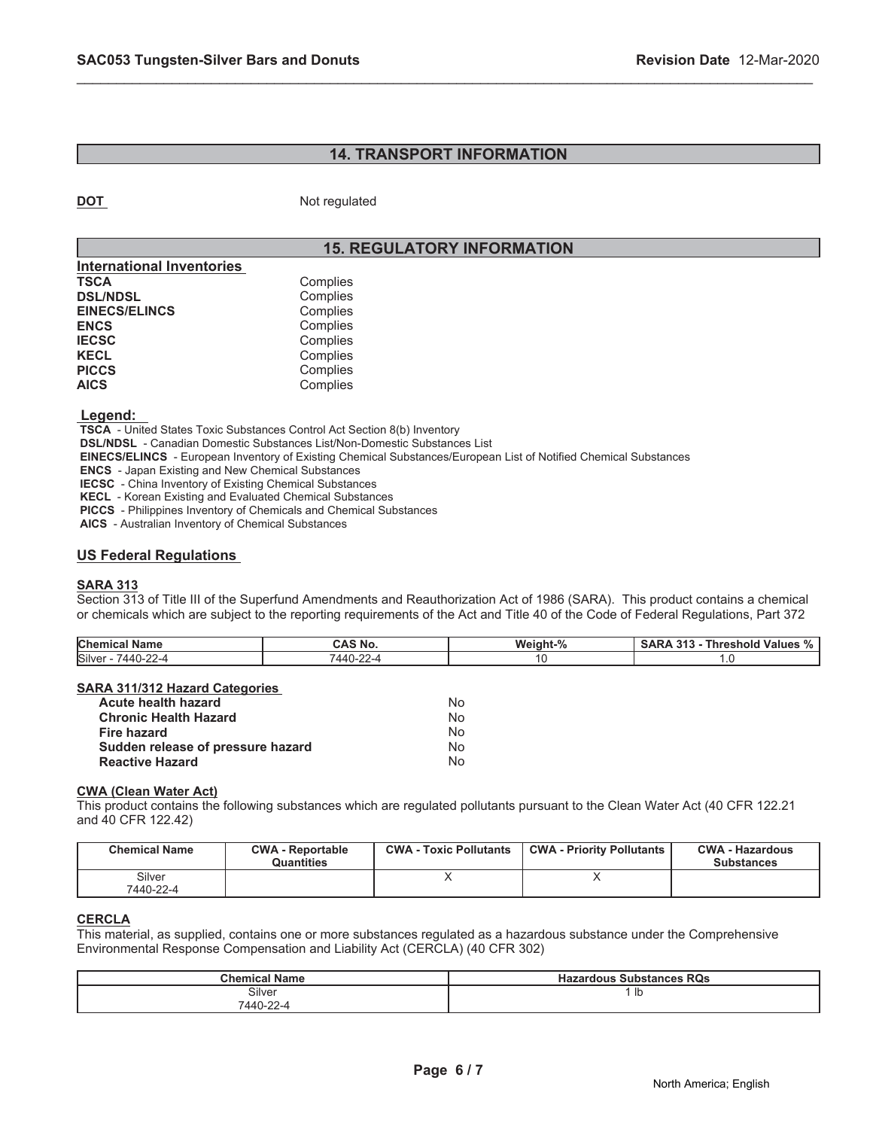# **14. TRANSPORT INFORMATION**

\_\_\_\_\_\_\_\_\_\_\_\_\_\_\_\_\_\_\_\_\_\_\_\_\_\_\_\_\_\_\_\_\_\_\_\_\_\_\_\_\_\_\_\_\_\_\_\_\_\_\_\_\_\_\_\_\_\_\_\_\_\_\_\_\_\_\_\_\_\_\_\_\_\_\_\_\_\_\_\_\_\_\_\_\_\_\_\_\_\_\_\_\_

**DOT** Not regulated

# **15. REGULATORY INFORMATION**

| Complies |
|----------|
| Complies |
| Complies |
| Complies |
| Complies |
| Complies |
| Complies |
| Complies |
|          |

 **Legend:** 

 **TSCA** - United States Toxic Substances Control Act Section 8(b) Inventory

 **DSL/NDSL** - Canadian Domestic Substances List/Non-Domestic Substances List

 **EINECS/ELINCS** - European Inventory of Existing Chemical Substances/European List of Notified Chemical Substances

 **ENCS** - Japan Existing and New Chemical Substances

 **IECSC** - China Inventory of Existing Chemical Substances

 **KECL** - Korean Existing and Evaluated Chemical Substances

 **PICCS** - Philippines Inventory of Chemicals and Chemical Substances

 **AICS** - Australian Inventory of Chemical Substances

# **US Federal Regulations**

### **SARA 313**

Section 313 of Title III of the Superfund Amendments and Reauthorization Act of 1986 (SARA). This product contains a chemical or chemicals which are subject to the reporting requirements of the Act and Title 40 of the Code of Federal Regulations, Part 372

| <b>Chemical</b><br>Name           | <b>AS No.</b>                           | $\mathbf{a}$<br><b>Weight</b> | 945<br><b>Values</b><br>וחו<br>70 |
|-----------------------------------|-----------------------------------------|-------------------------------|-----------------------------------|
| Silver<br>$\sim$<br>7440-:<br>--- | $\sim$<br>. $\Delta \Delta \Gamma$<br>. | . .                           |                                   |

# **SARA 311/312 Hazard Categories**

| Acute health hazard               | Nο |
|-----------------------------------|----|
| <b>Chronic Health Hazard</b>      | Nο |
| <b>Fire hazard</b>                | Nο |
| Sudden release of pressure hazard | N٥ |
| <b>Reactive Hazard</b>            | N٥ |

# **CWA (Clean Water Act)**

This product contains the following substances which are regulated pollutants pursuant to the Clean Water Act (40 CFR 122.21 and 40 CFR 122.42)

| <b>Chemical Name</b> | <b>CWA - Reportable</b><br>Quantities | <b>CWA - Toxic Pollutants</b> | <b>CWA - Priority Pollutants</b> | <b>CWA - Hazardous</b><br><b>Substances</b> |
|----------------------|---------------------------------------|-------------------------------|----------------------------------|---------------------------------------------|
| Silver<br>7440-22-4  |                                       |                               |                                  |                                             |

# **CERCLA**

This material, as supplied, contains one or more substances regulated as a hazardous substance under the Comprehensive Environmental Response Compensation and Liability Act (CERCLA) (40 CFR 302)

| <b>Chemical Name</b> | <b>Hazardous Substances RQs</b> |  |
|----------------------|---------------------------------|--|
| Silver               | Ib                              |  |
| 7440-22-4            |                                 |  |